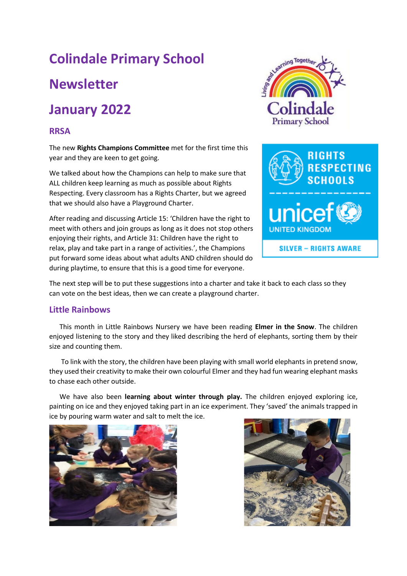# **Colindale Primary School Newsletter**

## **January 2022**

## **RRSA**

The new **Rights Champions Committee** met for the first time this year and they are keen to get going.

We talked about how the Champions can help to make sure that ALL children keep learning as much as possible about Rights Respecting. Every classroom has a Rights Charter, but we agreed that we should also have a Playground Charter.

After reading and discussing Article 15: 'Children have the right to meet with others and join groups as long as it does not stop others enjoying their rights, and Article 31: Children have the right to relax, play and take part in a range of activities.', the Champions put forward some ideas about what adults AND children should do during playtime, to ensure that this is a good time for everyone.





The next step will be to put these suggestions into a charter and take it back to each class so they can vote on the best ideas, then we can create a playground charter.

## **Little Rainbows**

 This month in Little Rainbows Nursery we have been reading **Elmer in the Snow**. The children enjoyed listening to the story and they liked describing the herd of elephants, sorting them by their size and counting them.

 To link with the story, the children have been playing with small world elephants in pretend snow, they used their creativity to make their own colourful Elmer and they had fun wearing elephant masks to chase each other outside.

 We have also been **learning about winter through play.** The children enjoyed exploring ice, painting on ice and they enjoyed taking part in an ice experiment. They 'saved' the animals trapped in ice by pouring warm water and salt to melt the ice.



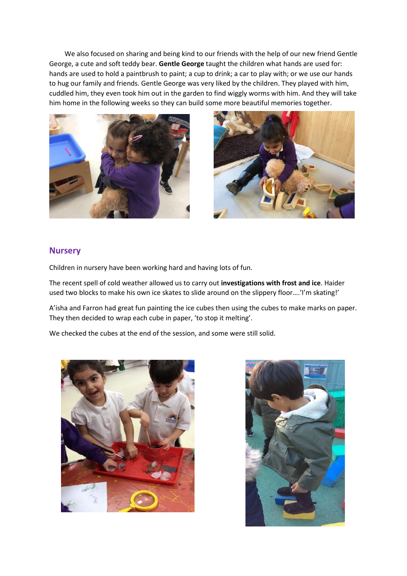We also focused on sharing and being kind to our friends with the help of our new friend Gentle George, a cute and soft teddy bear. **Gentle George** taught the children what hands are used for: hands are used to hold a paintbrush to paint; a cup to drink; a car to play with; or we use our hands to hug our family and friends. Gentle George was very liked by the children. They played with him, cuddled him, they even took him out in the garden to find wiggly worms with him. And they will take him home in the following weeks so they can build some more beautiful memories together.





#### **Nursery**

Children in nursery have been working hard and having lots of fun.

The recent spell of cold weather allowed us to carry out **investigations with frost and ice**. Haider used two blocks to make his own ice skates to slide around on the slippery floor….'I'm skating!'

A'isha and Farron had great fun painting the ice cubes then using the cubes to make marks on paper. They then decided to wrap each cube in paper, 'to stop it melting'.

We checked the cubes at the end of the session, and some were still solid.



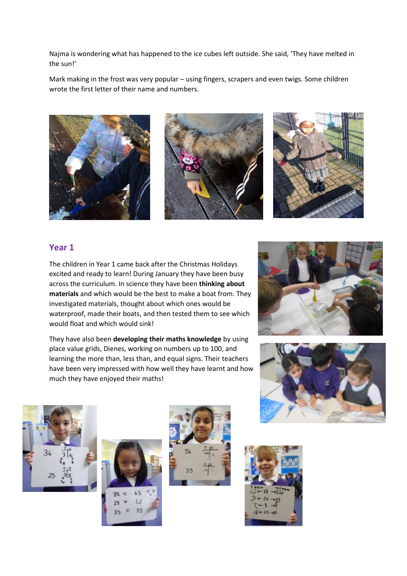Najma is wondering what has happened to the ice cubes left outside. She said, 'They have melted in the sun!'

Mark making in the frost was very popular – using fingers, scrapers and even twigs. Some children wrote the first letter of their name and numbers.



### **Year 1**

The children in Year 1 came back after the Christmas Holidays excited and ready to learn! During January they have been busy across the curriculum. In science they have been **thinking about materials** and which would be the best to make a boat from. They investigated materials, thought about which ones would be waterproof, made their boats, and then tested them to see which would float and which would sink!

They have also been **developing their maths knowledge** by using place value grids, Dienes, working on numbers up to 100, and learning the more than, less than, and equal signs. Their teachers have been very impressed with how well they have learnt and how much they have enjoyed their maths!